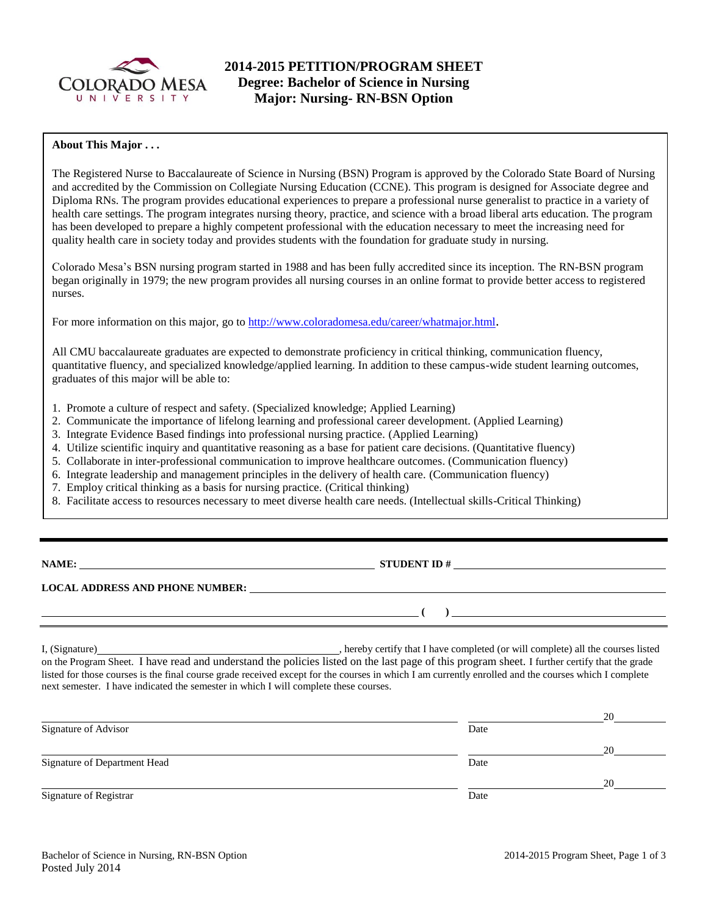

# **2014-2015 PETITION/PROGRAM SHEET Degree: Bachelor of Science in Nursing Major: Nursing- RN-BSN Option**

## **About This Major . . .**

The Registered Nurse to Baccalaureate of Science in Nursing (BSN) Program is approved by the Colorado State Board of Nursing and accredited by the Commission on Collegiate Nursing Education (CCNE). This program is designed for Associate degree and Diploma RNs. The program provides educational experiences to prepare a professional nurse generalist to practice in a variety of health care settings. The program integrates nursing theory, practice, and science with a broad liberal arts education. The program has been developed to prepare a highly competent professional with the education necessary to meet the increasing need for quality health care in society today and provides students with the foundation for graduate study in nursing.

Colorado Mesa's BSN nursing program started in 1988 and has been fully accredited since its inception. The RN-BSN program began originally in 1979; the new program provides all nursing courses in an online format to provide better access to registered nurses.

For more information on this major, go to<http://www.coloradomesa.edu/career/whatmajor.html>.

All CMU baccalaureate graduates are expected to demonstrate proficiency in critical thinking, communication fluency, quantitative fluency, and specialized knowledge/applied learning. In addition to these campus-wide student learning outcomes, graduates of this major will be able to:

- 1. Promote a culture of respect and safety. (Specialized knowledge; Applied Learning)
- 2. Communicate the importance of lifelong learning and professional career development. (Applied Learning)
- 3. Integrate Evidence Based findings into professional nursing practice. (Applied Learning)
- 4. Utilize scientific inquiry and quantitative reasoning as a base for patient care decisions. (Quantitative fluency)
- 5. Collaborate in inter-professional communication to improve healthcare outcomes. (Communication fluency)
- 6. Integrate leadership and management principles in the delivery of health care. (Communication fluency)
- 7. Employ critical thinking as a basis for nursing practice. (Critical thinking)
- 8. Facilitate access to resources necessary to meet diverse health care needs. (Intellectual skills-Critical Thinking)

**NAMES IN STUDENT ID #** 

**( )** 

## **LOCAL ADDRESS AND PHONE NUMBER:**

I, (Signature) , hereby certify that I have completed (or will complete) all the courses listed on the Program Sheet. I have read and understand the policies listed on the last page of this program sheet. I further certify that the grade listed for those courses is the final course grade received except for the courses in which I am currently enrolled and the courses which I complete next semester. I have indicated the semester in which I will complete these courses.

|                              |      | 20 |
|------------------------------|------|----|
| Signature of Advisor         | Date |    |
|                              |      | 20 |
| Signature of Department Head | Date |    |
|                              |      | 20 |
| Signature of Registrar       | Date |    |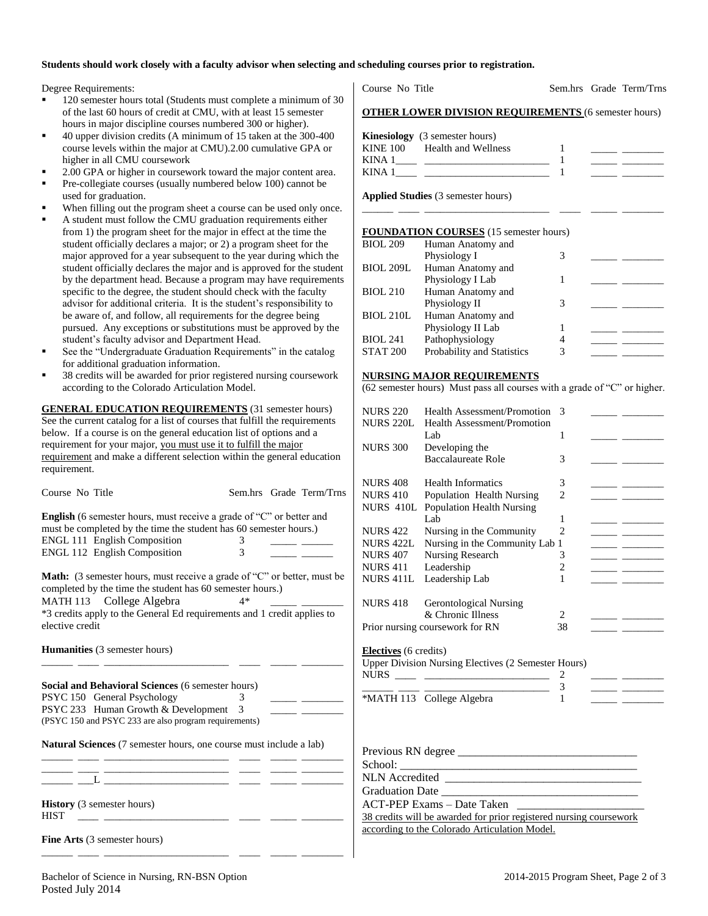### **Students should work closely with a faculty advisor when selecting and scheduling courses prior to registration.**

Degree Requirements:

- 120 semester hours total (Students must complete a minimum of 30 of the last 60 hours of credit at CMU, with at least 15 semester hours in major discipline courses numbered 300 or higher).
- 40 upper division credits (A minimum of 15 taken at the 300-400 course levels within the major at CMU).2.00 cumulative GPA or higher in all CMU coursework
- 2.00 GPA or higher in coursework toward the major content area.
- Pre-collegiate courses (usually numbered below 100) cannot be used for graduation.
- When filling out the program sheet a course can be used only once.
- A student must follow the CMU graduation requirements either from 1) the program sheet for the major in effect at the time the student officially declares a major; or 2) a program sheet for the major approved for a year subsequent to the year during which the student officially declares the major and is approved for the student by the department head. Because a program may have requirements specific to the degree, the student should check with the faculty advisor for additional criteria. It is the student's responsibility to be aware of, and follow, all requirements for the degree being pursued. Any exceptions or substitutions must be approved by the student's faculty advisor and Department Head.
- See the "Undergraduate Graduation Requirements" in the catalog for additional graduation information.
- 38 credits will be awarded for prior registered nursing coursework according to the Colorado Articulation Model.

**GENERAL EDUCATION REQUIREMENTS** (31 semester hours) See the current catalog for a list of courses that fulfill the requirements below. If a course is on the general education list of options and a requirement for your major, you must use it to fulfill the major requirement and make a different selection within the general education requirement.

| Course No Title                                                                                                                                                                                                                |        | Sem.hrs Grade Term/Trns |
|--------------------------------------------------------------------------------------------------------------------------------------------------------------------------------------------------------------------------------|--------|-------------------------|
| <b>English</b> (6 semester hours, must receive a grade of "C" or better and<br>must be completed by the time the student has 60 semester hours.)<br><b>ENGL 111 English Composition</b><br><b>ENGL 112 English Composition</b> | 3<br>3 |                         |
| <b>Math:</b> (3 semester hours, must receive a grade of "C" or better, must be<br>completed by the time the student has 60 semester hours.)<br>MATH 113 College Algebra                                                        | 4*     |                         |
| *3 credits apply to the General Ed requirements and 1 credit applies to<br>elective credit<br><b>Humanities</b> (3 semester hours)                                                                                             |        |                         |
| <b>Social and Behavioral Sciences (6 semester hours)</b>                                                                                                                                                                       |        |                         |
| PSYC 150 General Psychology                                                                                                                                                                                                    | 3      |                         |
| PSYC 233 Human Growth & Development 3                                                                                                                                                                                          |        |                         |
| (PSYC 150 and PSYC 233 are also program requirements)                                                                                                                                                                          |        |                         |
| <b>Natural Sciences</b> (7 semester hours, one course must include a lab)                                                                                                                                                      |        |                         |

\_\_\_\_\_\_ \_\_\_L \_\_\_\_\_\_\_\_\_\_\_\_\_\_\_\_\_\_\_\_\_\_\_\_ \_\_\_\_ \_\_\_\_\_ \_\_\_\_\_\_\_\_

\_\_\_\_\_\_ \_\_\_\_ \_\_\_\_\_\_\_\_\_\_\_\_\_\_\_\_\_\_\_\_\_\_\_\_ \_\_\_\_ \_\_\_\_\_ \_\_\_\_\_\_\_\_

**History** (3 semester hours) HIST \_\_\_\_ \_\_\_\_\_\_\_\_\_\_\_\_\_\_\_\_\_\_\_\_\_\_\_\_ \_\_\_\_ \_\_\_\_\_ \_\_\_\_\_\_\_\_

| Fine Arts (3 semester hours) |
|------------------------------|
|------------------------------|

Course No Title Sem.hrs Grade Term/Trns

#### **OTHER LOWER DIVISION REQUIREMENTS** (6 semester hours)

|          | <b>Kinesiology</b> (3 semester hours) |  |  |
|----------|---------------------------------------|--|--|
| KINE 100 | Health and Wellness                   |  |  |
| KINA 1   |                                       |  |  |
| KINA 1   |                                       |  |  |

\_\_\_\_\_\_ \_\_\_\_ \_\_\_\_\_\_\_\_\_\_\_\_\_\_\_\_\_\_\_\_\_\_\_\_ \_\_\_\_ \_\_\_\_\_ \_\_\_\_\_\_\_\_

**Applied Studies** (3 semester hours)

#### **FOUNDATION COURSES** (15 semester hours)

| <b>BIOL 209</b>  | Human Anatomy and                 |   |  |
|------------------|-----------------------------------|---|--|
|                  | Physiology I                      | 3 |  |
| <b>BIOL 209L</b> | Human Anatomy and                 |   |  |
|                  | Physiology I Lab                  |   |  |
| <b>BIOL 210</b>  | Human Anatomy and                 |   |  |
|                  | Physiology II                     | 3 |  |
| <b>BIOL 210L</b> | Human Anatomy and                 |   |  |
|                  | Physiology II Lab                 |   |  |
| <b>BIOL 241</b>  | Pathophysiology                   | 4 |  |
| <b>STAT 200</b>  | <b>Probability and Statistics</b> | 3 |  |

#### **NURSING MAJOR REQUIREMENTS**

(62 semester hours) Must pass all courses with a grade of "C" or higher.

| <b>Health Assessment/Promotion</b> | 3                                                                                                                                                                                                                                  |                                                                                                                                  |                                 |
|------------------------------------|------------------------------------------------------------------------------------------------------------------------------------------------------------------------------------------------------------------------------------|----------------------------------------------------------------------------------------------------------------------------------|---------------------------------|
| Health Assessment/Promotion        |                                                                                                                                                                                                                                    |                                                                                                                                  |                                 |
| Lab.                               | 1                                                                                                                                                                                                                                  |                                                                                                                                  |                                 |
|                                    |                                                                                                                                                                                                                                    |                                                                                                                                  |                                 |
|                                    |                                                                                                                                                                                                                                    |                                                                                                                                  |                                 |
|                                    |                                                                                                                                                                                                                                    |                                                                                                                                  |                                 |
|                                    |                                                                                                                                                                                                                                    |                                                                                                                                  |                                 |
|                                    |                                                                                                                                                                                                                                    |                                                                                                                                  |                                 |
|                                    |                                                                                                                                                                                                                                    |                                                                                                                                  |                                 |
|                                    | 1                                                                                                                                                                                                                                  |                                                                                                                                  |                                 |
| Nursing in the Community           | $\overline{2}$                                                                                                                                                                                                                     |                                                                                                                                  |                                 |
|                                    |                                                                                                                                                                                                                                    |                                                                                                                                  |                                 |
|                                    | 3                                                                                                                                                                                                                                  |                                                                                                                                  | <u> The Common State Common</u> |
| Leadership                         | $\overline{c}$                                                                                                                                                                                                                     |                                                                                                                                  |                                 |
| Leadership Lab                     | 1                                                                                                                                                                                                                                  |                                                                                                                                  |                                 |
|                                    |                                                                                                                                                                                                                                    |                                                                                                                                  |                                 |
| <b>Gerontological Nursing</b>      |                                                                                                                                                                                                                                    |                                                                                                                                  |                                 |
| & Chronic Illness                  | 2                                                                                                                                                                                                                                  |                                                                                                                                  |                                 |
| Prior nursing coursework for RN    | 38                                                                                                                                                                                                                                 |                                                                                                                                  |                                 |
|                                    |                                                                                                                                                                                                                                    |                                                                                                                                  |                                 |
|                                    |                                                                                                                                                                                                                                    |                                                                                                                                  |                                 |
|                                    |                                                                                                                                                                                                                                    |                                                                                                                                  |                                 |
|                                    |                                                                                                                                                                                                                                    |                                                                                                                                  |                                 |
|                                    |                                                                                                                                                                                                                                    |                                                                                                                                  |                                 |
|                                    |                                                                                                                                                                                                                                    |                                                                                                                                  |                                 |
|                                    |                                                                                                                                                                                                                                    |                                                                                                                                  |                                 |
|                                    |                                                                                                                                                                                                                                    |                                                                                                                                  |                                 |
|                                    |                                                                                                                                                                                                                                    |                                                                                                                                  |                                 |
|                                    |                                                                                                                                                                                                                                    |                                                                                                                                  |                                 |
|                                    |                                                                                                                                                                                                                                    |                                                                                                                                  |                                 |
| <b>NLN</b> Accredited              |                                                                                                                                                                                                                                    |                                                                                                                                  |                                 |
|                                    | Developing the<br><b>Baccalaureate Role</b><br><b>Health Informatics</b><br>Population Health Nursing<br><b>Population Health Nursing</b><br>Lab.<br>Nursing Research<br><b>Electives</b> (6 credits)<br>*MATH 113 College Algebra | 3<br>3<br>$\overline{c}$<br>Nursing in the Community Lab 1<br>Upper Division Nursing Electives (2 Semester Hours)<br>2<br>3<br>1 | Previous RN degree              |

Graduation Date

ACT-PEP Exams – Date Taken 38 credits will be awarded for prior registered nursing coursework according to the Colorado Articulation Model.